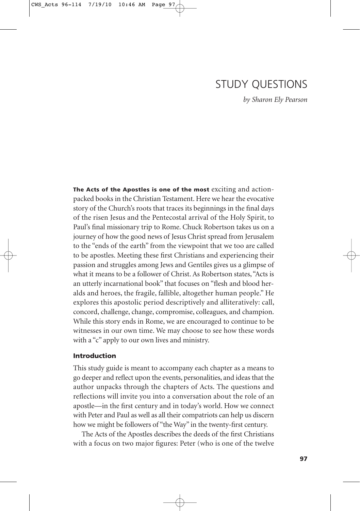*by Sharon Ely Pearson*

**The Acts of the Apostles is one of the most** exciting and actionpacked books in the Christian Testament. Here we hear the evocative story of the Church's roots that traces its beginnings in the final days of the risen Jesus and the Pentecostal arrival of the Holy Spirit, to Paul's final missionary trip to Rome. Chuck Robertson takes us on a journey of how the good news of Jesus Christ spread from Jerusalem to the "ends of the earth" from the viewpoint that we too are called to be apostles. Meeting these first Christians and experiencing their passion and struggles among Jews and Gentiles gives us a glimpse of what it means to be a follower of Christ. As Robertson states, "Acts is an utterly incarnational book" that focuses on "flesh and blood heralds and heroes, the fragile, fallible, altogether human people." He explores this apostolic period descriptively and alliteratively: call, concord, challenge, change, compromise, colleagues, and champion. While this story ends in Rome, we are encouraged to continue to be witnesses in our own time. We may choose to see how these words with a "c" apply to our own lives and ministry.

## **Introduction**

This study guide is meant to accompany each chapter as a means to go deeper and reflect upon the events, personalities, and ideas that the author unpacks through the chapters of Acts. The questions and reflections will invite you into a conversation about the role of an apostle—in the first century and in today's world. How we connect with Peter and Paul as well as all their compatriots can help us discern how we might be followers of "the Way" in the twenty-first century.

The Acts of the Apostles describes the deeds of the first Christians with a focus on two major figures: Peter (who is one of the twelve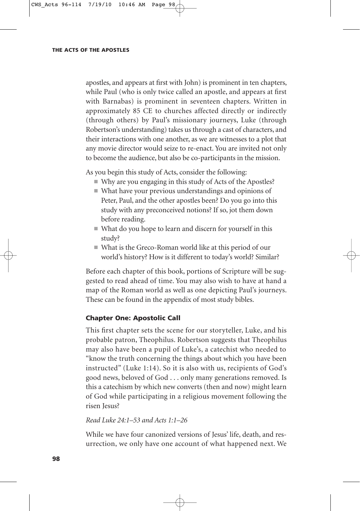apostles, and appears at first with John) is prominent in ten chapters, while Paul (who is only twice called an apostle, and appears at first with Barnabas) is prominent in seventeen chapters. Written in approximately 85 CE to churches affected directly or indirectly (through others) by Paul's missionary journeys, Luke (through Robertson's understanding) takes us through a cast of characters, and their interactions with one another, as we are witnesses to a plot that any movie director would seize to re-enact. You are invited not only to become the audience, but also be co-participants in the mission.

As you begin this study of Acts, consider the following:

- Why are you engaging in this study of Acts of the Apostles?
- What have your previous understandings and opinions of Peter, Paul, and the other apostles been? Do you go into this study with any preconceived notions? If so, jot them down before reading.
- What do you hope to learn and discern for yourself in this study?
- What is the Greco-Roman world like at this period of our world's history? How is it different to today's world? Similar?

Before each chapter of this book, portions of Scripture will be suggested to read ahead of time. You may also wish to have at hand a map of the Roman world as well as one depicting Paul's journeys. These can be found in the appendix of most study bibles.

## **Chapter One: Apostolic Call**

This first chapter sets the scene for our storyteller, Luke, and his probable patron, Theophilus. Robertson suggests that Theophilus may also have been a pupil of Luke's, a catechist who needed to "know the truth concerning the things about which you have been instructed" (Luke 1:14). So it is also with us, recipients of God's good news, beloved of God . . . only many generations removed. Is this a catechism by which new converts (then and now) might learn of God while participating in a religious movement following the risen Jesus?

## *Read Luke 24:1–53 and Acts 1:1–26*

While we have four canonized versions of Jesus' life, death, and resurrection, we only have one account of what happened next. We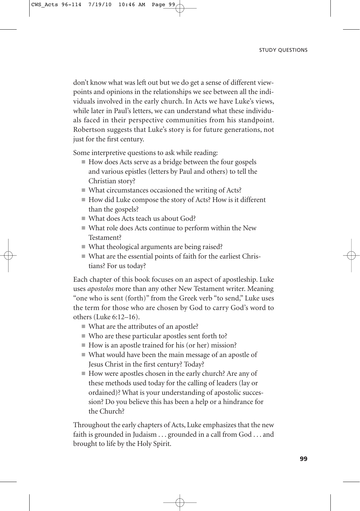don't know what was left out but we do get a sense of different viewpoints and opinions in the relationships we see between all the individuals involved in the early church. In Acts we have Luke's views, while later in Paul's letters, we can understand what these individuals faced in their perspective communities from his standpoint. Robertson suggests that Luke's story is for future generations, not just for the first century.

Some interpretive questions to ask while reading:

- How does Acts serve as a bridge between the four gospels and various epistles (letters by Paul and others) to tell the Christian story?
- What circumstances occasioned the writing of Acts?
- How did Luke compose the story of Acts? How is it different than the gospels?
- What does Acts teach us about God?
- What role does Acts continue to perform within the New Testament?
- What theological arguments are being raised?
- What are the essential points of faith for the earliest Christians? For us today?

Each chapter of this book focuses on an aspect of apostleship. Luke uses *apostolos* more than any other New Testament writer. Meaning "one who is sent (forth)" from the Greek verb "to send," Luke uses the term for those who are chosen by God to carry God's word to others (Luke 6:12–16).

- What are the attributes of an apostle?
- Who are these particular apostles sent forth to?
- How is an apostle trained for his (or her) mission?
- What would have been the main message of an apostle of Jesus Christ in the first century? Today?
- How were apostles chosen in the early church? Are any of these methods used today for the calling of leaders (lay or ordained)? What is your understanding of apostolic succession? Do you believe this has been a help or a hindrance for the Church?

Throughout the early chapters of Acts, Luke emphasizes that the new faith is grounded in Judaism . . . grounded in a call from God . . . and brought to life by the Holy Spirit.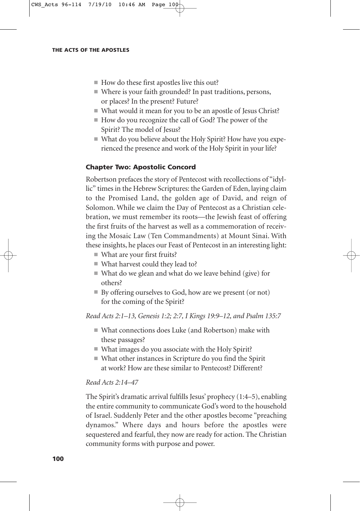- How do these first apostles live this out?
- Where is your faith grounded? In past traditions, persons, or places? In the present? Future?
- What would it mean for you to be an apostle of Jesus Christ?
- How do you recognize the call of God? The power of the Spirit? The model of Jesus?
- What do you believe about the Holy Spirit? How have you experienced the presence and work of the Holy Spirit in your life?

## **Chapter Two: Apostolic Concord**

Robertson prefaces the story of Pentecost with recollections of "idyllic" times in the Hebrew Scriptures: the Garden of Eden, laying claim to the Promised Land, the golden age of David, and reign of Solomon. While we claim the Day of Pentecost as a Christian celebration, we must remember its roots—the Jewish feast of offering the first fruits of the harvest as well as a commemoration of receiving the Mosaic Law (Ten Commandments) at Mount Sinai. With these insights, he places our Feast of Pentecost in an interesting light:

- What are your first fruits?
- What harvest could they lead to?
- What do we glean and what do we leave behind (give) for others?
- By offering ourselves to God, how are we present (or not) for the coming of the Spirit?

*Read Acts 2:1–13, Genesis 1:2; 2:7, I Kings 19:9–12, and Psalm 135:7*

- What connections does Luke (and Robertson) make with these passages?
- What images do you associate with the Holy Spirit?
- What other instances in Scripture do you find the Spirit at work? How are these similar to Pentecost? Different?

## *Read Acts 2:14–47*

The Spirit's dramatic arrival fulfills Jesus' prophecy (1:4–5), enabling the entire community to communicate God's word to the household of Israel. Suddenly Peter and the other apostles become "preaching dynamos." Where days and hours before the apostles were sequestered and fearful, they now are ready for action. The Christian community forms with purpose and power.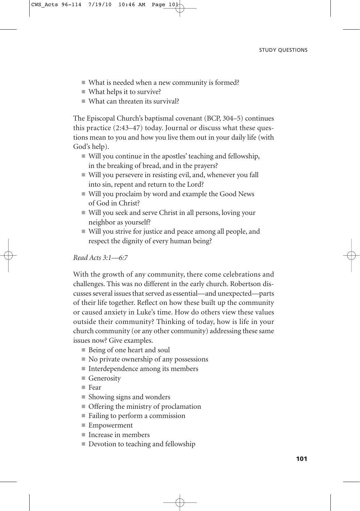- What is needed when a new community is formed?
- What helps it to survive?
- What can threaten its survival?

The Episcopal Church's baptismal covenant (BCP, 304–5) continues this practice (2:43–47) today. Journal or discuss what these questions mean to you and how you live them out in your daily life (with God's help).

- Will you continue in the apostles' teaching and fellowship, in the breaking of bread, and in the prayers?
- Will you persevere in resisting evil, and, whenever you fall into sin, repent and return to the Lord?
- Will you proclaim by word and example the Good News of God in Christ?
- Will you seek and serve Christ in all persons, loving your neighbor as yourself?
- Will you strive for justice and peace among all people, and respect the dignity of every human being?

#### *Read Acts 3:1—6:7*

With the growth of any community, there come celebrations and challenges. This was no different in the early church. Robertson discusses several issues that served as essential—and unexpected—parts of their life together. Reflect on how these built up the community or caused anxiety in Luke's time. How do others view these values outside their community? Thinking of today, how is life in your church community (or any other community) addressing these same issues now? Give examples.

- Being of one heart and soul
- No private ownership of any possessions
- Interdependence among its members
- Generosity
- Fear
- Showing signs and wonders
- Offering the ministry of proclamation
- Failing to perform a commission
- Empowerment
- Increase in members
- Devotion to teaching and fellowship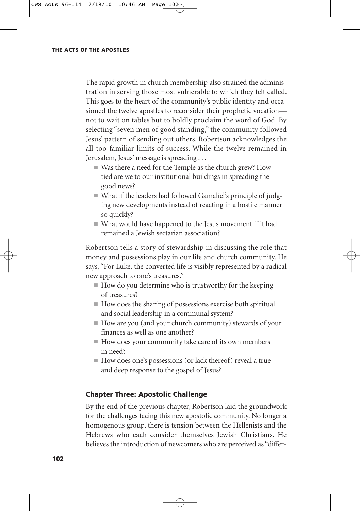The rapid growth in church membership also strained the administration in serving those most vulnerable to which they felt called. This goes to the heart of the community's public identity and occasioned the twelve apostles to reconsider their prophetic vocation not to wait on tables but to boldly proclaim the word of God. By selecting "seven men of good standing," the community followed Jesus' pattern of sending out others. Robertson acknowledges the all-too-familiar limits of success. While the twelve remained in Jerusalem, Jesus' message is spreading . . .

- Was there a need for the Temple as the church grew? How tied are we to our institutional buildings in spreading the good news?
- What if the leaders had followed Gamaliel's principle of judging new developments instead of reacting in a hostile manner so quickly?
- What would have happened to the Jesus movement if it had remained a Jewish sectarian association?

Robertson tells a story of stewardship in discussing the role that money and possessions play in our life and church community. He says, "For Luke, the converted life is visibly represented by a radical new approach to one's treasures."

- How do you determine who is trustworthy for the keeping of treasures?
- How does the sharing of possessions exercise both spiritual and social leadership in a communal system?
- How are you (and your church community) stewards of your finances as well as one another?
- How does your community take care of its own members in need?
- How does one's possessions (or lack thereof) reveal a true and deep response to the gospel of Jesus?

### **Chapter Three: Apostolic Challenge**

By the end of the previous chapter, Robertson laid the groundwork for the challenges facing this new apostolic community. No longer a homogenous group, there is tension between the Hellenists and the Hebrews who each consider themselves Jewish Christians. He believes the introduction of newcomers who are perceived as "differ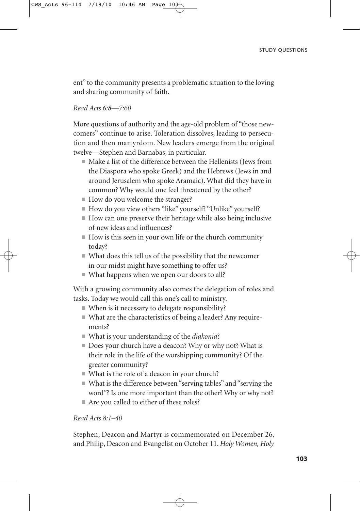ent" to the community presents a problematic situation to the loving and sharing community of faith.

*Read Acts 6:8—7:60* 

More questions of authority and the age-old problem of "those newcomers" continue to arise. Toleration dissolves, leading to persecution and then martyrdom. New leaders emerge from the original twelve—Stephen and Barnabas, in particular.

- Make a list of the difference between the Hellenists (Jews from the Diaspora who spoke Greek) and the Hebrews (Jews in and around Jerusalem who spoke Aramaic). What did they have in common? Why would one feel threatened by the other?
- How do you welcome the stranger?
- How do you view others "like" yourself? "Unlike" yourself?
- How can one preserve their heritage while also being inclusive of new ideas and influences?
- How is this seen in your own life or the church community today?
- What does this tell us of the possibility that the newcomer in our midst might have something to offer us?
- What happens when we open our doors to all?

With a growing community also comes the delegation of roles and tasks. Today we would call this one's call to ministry.

- When is it necessary to delegate responsibility?
- What are the characteristics of being a leader? Any requirements?
- What is your understanding of the *diakonia*?
- Does your church have a deacon? Why or why not? What is their role in the life of the worshipping community? Of the greater community?
- What is the role of a deacon in your church?
- What is the difference between "serving tables" and "serving the word"? Is one more important than the other? Why or why not?
- Are you called to either of these roles?

*Read Acts 8:1–40*

Stephen, Deacon and Martyr is commemorated on December 26, and Philip, Deacon and Evangelist on October 11. *Holy Women, Holy*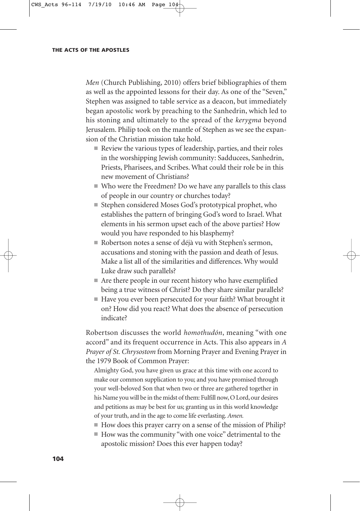*Men* (Church Publishing, 2010) offers brief bibliographies of them as well as the appointed lessons for their day. As one of the "Seven," Stephen was assigned to table service as a deacon, but immediately began apostolic work by preaching to the Sanhedrin, which led to his stoning and ultimately to the spread of the *kerygma* beyond Jerusalem. Philip took on the mantle of Stephen as we see the expansion of the Christian mission take hold.

- Review the various types of leadership, parties, and their roles in the worshipping Jewish community: Sadducees, Sanhedrin, Priests, Pharisees, and Scribes. What could their role be in this new movement of Christians?
- Who were the Freedmen? Do we have any parallels to this class of people in our country or churches today?
- Stephen considered Moses God's prototypical prophet, who establishes the pattern of bringing God's word to Israel. What elements in his sermon upset each of the above parties? How would you have responded to his blasphemy?
- Robertson notes a sense of déjà vu with Stephen's sermon, accusations and stoning with the passion and death of Jesus. Make a list all of the similarities and differences. Why would Luke draw such parallels?
- Are there people in our recent history who have exemplified being a true witness of Christ? Do they share similar parallels?
- Have you ever been persecuted for your faith? What brought it on? How did you react? What does the absence of persecution indicate?

Robertson discusses the world *homothudón*, meaning "with one accord" and its frequent occurrence in Acts. This also appears in *A Prayer of St. Chrysostom* from Morning Prayer and Evening Prayer in the 1979 Book of Common Prayer:

Almighty God, you have given us grace at this time with one accord to make our common supplication to you; and you have promised through your well-beloved Son that when two or three are gathered together in his Name you will be in the midst of them: Fulfill now, O Lord, our desires and petitions as may be best for us; granting us in this world knowledge of your truth, and in the age to come life everlasting. *Amen.*

- How does this prayer carry on a sense of the mission of Philip?
- How was the community "with one voice" detrimental to the apostolic mission? Does this ever happen today?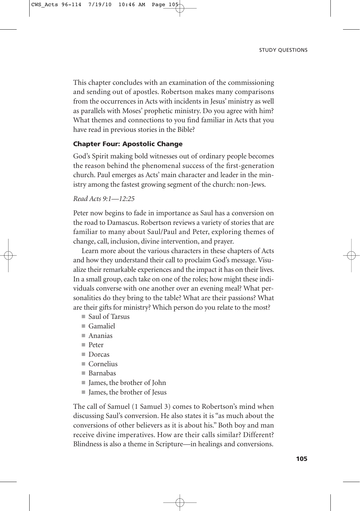This chapter concludes with an examination of the commissioning and sending out of apostles. Robertson makes many comparisons from the occurrences in Acts with incidents in Jesus' ministry as well as parallels with Moses' prophetic ministry. Do you agree with him? What themes and connections to you find familiar in Acts that you have read in previous stories in the Bible?

## **Chapter Four: Apostolic Change**

God's Spirit making bold witnesses out of ordinary people becomes the reason behind the phenomenal success of the first-generation church. Paul emerges as Acts' main character and leader in the ministry among the fastest growing segment of the church: non-Jews.

#### *Read Acts 9:1—12:25*

Peter now begins to fade in importance as Saul has a conversion on the road to Damascus. Robertson reviews a variety of stories that are familiar to many about Saul/Paul and Peter, exploring themes of change, call, inclusion, divine intervention, and prayer.

Learn more about the various characters in these chapters of Acts and how they understand their call to proclaim God's message. Visualize their remarkable experiences and the impact it has on their lives. In a small group, each take on one of the roles; how might these individuals converse with one another over an evening meal? What personalities do they bring to the table? What are their passions? What are their gifts for ministry? Which person do you relate to the most?

- Saul of Tarsus
- Gamaliel
- Ananias
- Peter
- Dorcas
- Cornelius
- Barnabas
- James, the brother of John
- James, the brother of Jesus

The call of Samuel (1 Samuel 3) comes to Robertson's mind when discussing Saul's conversion. He also states it is "as much about the conversions of other believers as it is about his." Both boy and man receive divine imperatives. How are their calls similar? Different? Blindness is also a theme in Scripture—in healings and conversions.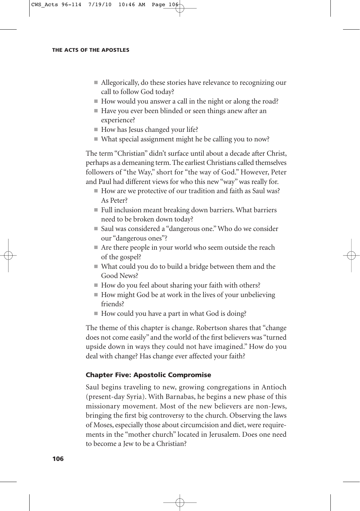- Allegorically, do these stories have relevance to recognizing our call to follow God today?
- How would you answer a call in the night or along the road?
- Have you ever been blinded or seen things anew after an experience?
- How has Jesus changed your life?
- What special assignment might he be calling you to now?

The term "Christian" didn't surface until about a decade after Christ, perhaps as a demeaning term. The earliest Christians called themselves followers of "the Way," short for "the way of God." However, Peter and Paul had different views for who this new "way" was really for.

- How are we protective of our tradition and faith as Saul was? As Peter?
- Full inclusion meant breaking down barriers. What barriers need to be broken down today?
- Saul was considered a "dangerous one." Who do we consider our "dangerous ones"?
- Are there people in your world who seem outside the reach of the gospel?
- What could you do to build a bridge between them and the Good News?
- How do you feel about sharing your faith with others?
- How might God be at work in the lives of your unbelieving friends?
- How could you have a part in what God is doing?

The theme of this chapter is change. Robertson shares that "change does not come easily" and the world of the first believers was "turned upside down in ways they could not have imagined." How do you deal with change? Has change ever affected your faith?

## **Chapter Five: Apostolic Compromise**

Saul begins traveling to new, growing congregations in Antioch (present-day Syria). With Barnabas, he begins a new phase of this missionary movement. Most of the new believers are non-Jews, bringing the first big controversy to the church. Observing the laws of Moses, especially those about circumcision and diet, were requirements in the "mother church" located in Jerusalem. Does one need to become a Jew to be a Christian?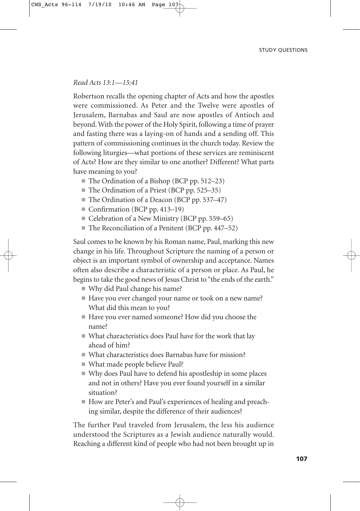# *Read Acts 13:1—15:41*

Robertson recalls the opening chapter of Acts and how the apostles were commissioned. As Peter and the Twelve were apostles of Jerusalem, Barnabas and Saul are now apostles of Antioch and beyond. With the power of the Holy Spirit, following a time of prayer and fasting there was a laying-on of hands and a sending off. This pattern of commissioning continues in the church today. Review the following liturgies—what portions of these services are reminiscent of Acts? How are they similar to one another? Different? What parts have meaning to you?

- The Ordination of a Bishop (BCP pp. 512–23)
- The Ordination of a Priest (BCP pp. 525–35)
- The Ordination of a Deacon (BCP pp. 537–47)
- Confirmation (BCP pp. 413–19)
- Celebration of a New Ministry (BCP pp. 559–65)
- The Reconciliation of a Penitent (BCP pp. 447–52)

Saul comes to be known by his Roman name, Paul, marking this new change in his life. Throughout Scripture the naming of a person or object is an important symbol of ownership and acceptance. Names often also describe a characteristic of a person or place. As Paul, he begins to take the good news of Jesus Christ to "the ends of the earth."

- Why did Paul change his name?
- Have you ever changed your name or took on a new name? What did this mean to you?
- Have you ever named someone? How did you choose the name?
- What characteristics does Paul have for the work that lay ahead of him?
- What characteristics does Barnabas have for mission?
- What made people believe Paul?
- Why does Paul have to defend his apostleship in some places and not in others? Have you ever found yourself in a similar situation?
- How are Peter's and Paul's experiences of healing and preaching similar, despite the difference of their audiences?

The further Paul traveled from Jerusalem, the less his audience understood the Scriptures as a Jewish audience naturally would. Reaching a different kind of people who had not been brought up in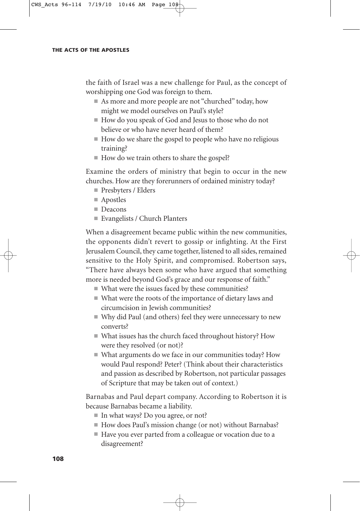the faith of Israel was a new challenge for Paul, as the concept of worshipping one God was foreign to them.

- As more and more people are not "churched" today, how might we model ourselves on Paul's style?
- How do you speak of God and Jesus to those who do not believe or who have never heard of them?
- How do we share the gospel to people who have no religious training?
- How do we train others to share the gospel?

Examine the orders of ministry that begin to occur in the new churches. How are they forerunners of ordained ministry today?

- Presbyters / Elders
- Apostles
- Deacons
- Evangelists / Church Planters

When a disagreement became public within the new communities, the opponents didn't revert to gossip or infighting. At the First Jerusalem Council, they came together, listened to all sides, remained sensitive to the Holy Spirit, and compromised. Robertson says, "There have always been some who have argued that something more is needed beyond God's grace and our response of faith."

- What were the issues faced by these communities?
- What were the roots of the importance of dietary laws and circumcision in Jewish communities?
- Why did Paul (and others) feel they were unnecessary to new converts?
- What issues has the church faced throughout history? How were they resolved (or not)?
- What arguments do we face in our communities today? How would Paul respond? Peter? (Think about their characteristics and passion as described by Robertson, not particular passages of Scripture that may be taken out of context.)

Barnabas and Paul depart company. According to Robertson it is because Barnabas became a liability.

- In what ways? Do you agree, or not?
- How does Paul's mission change (or not) without Barnabas?
- Have you ever parted from a colleague or vocation due to a disagreement?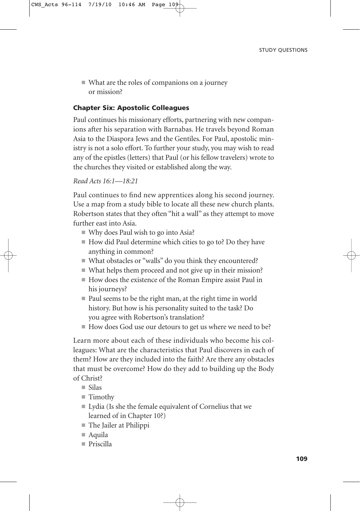■ What are the roles of companions on a journey or mission?

## **Chapter Six: Apostolic Colleagues**

Paul continues his missionary efforts, partnering with new companions after his separation with Barnabas. He travels beyond Roman Asia to the Diaspora Jews and the Gentiles. For Paul, apostolic ministry is not a solo effort. To further your study, you may wish to read any of the epistles (letters) that Paul (or his fellow travelers) wrote to the churches they visited or established along the way.

*Read Acts 16:1—18:21*

Paul continues to find new apprentices along his second journey. Use a map from a study bible to locate all these new church plants. Robertson states that they often "hit a wall" as they attempt to move further east into Asia.

- Why does Paul wish to go into Asia?
- How did Paul determine which cities to go to? Do they have anything in common?
- What obstacles or "walls" do you think they encountered?
- What helps them proceed and not give up in their mission?
- How does the existence of the Roman Empire assist Paul in his journeys?
- Paul seems to be the right man, at the right time in world history. But how is his personality suited to the task? Do you agree with Robertson's translation?
- How does God use our detours to get us where we need to be?

Learn more about each of these individuals who become his colleagues: What are the characteristics that Paul discovers in each of them? How are they included into the faith? Are there any obstacles that must be overcome? How do they add to building up the Body of Christ?

- Silas
- Timothy
- Lydia (Is she the female equivalent of Cornelius that we learned of in Chapter 10?)
- The Jailer at Philippi
- Aquila
- Priscilla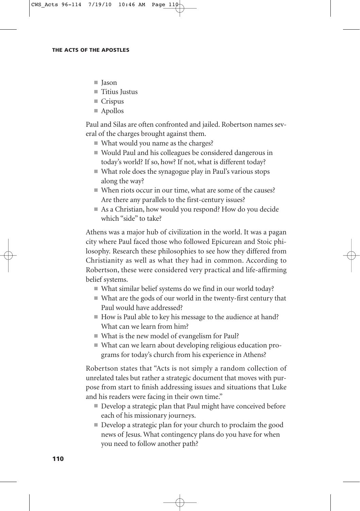- Jason
- Titius Justus
- Crispus
- Apollos

Paul and Silas are often confronted and jailed. Robertson names several of the charges brought against them.

- What would you name as the charges?
- Would Paul and his colleagues be considered dangerous in today's world? If so, how? If not, what is different today?
- What role does the synagogue play in Paul's various stops along the way?
- When riots occur in our time, what are some of the causes? Are there any parallels to the first-century issues?
- As a Christian, how would you respond? How do you decide which "side" to take?

Athens was a major hub of civilization in the world. It was a pagan city where Paul faced those who followed Epicurean and Stoic philosophy. Research these philosophies to see how they differed from Christianity as well as what they had in common. According to Robertson, these were considered very practical and life-affirming belief systems.

- What similar belief systems do we find in our world today?
- What are the gods of our world in the twenty-first century that Paul would have addressed?
- How is Paul able to key his message to the audience at hand? What can we learn from him?
- What is the new model of evangelism for Paul?
- What can we learn about developing religious education programs for today's church from his experience in Athens?

Robertson states that "Acts is not simply a random collection of unrelated tales but rather a strategic document that moves with purpose from start to finish addressing issues and situations that Luke and his readers were facing in their own time."

- Develop a strategic plan that Paul might have conceived before each of his missionary journeys.
- Develop a strategic plan for your church to proclaim the good news of Jesus. What contingency plans do you have for when you need to follow another path?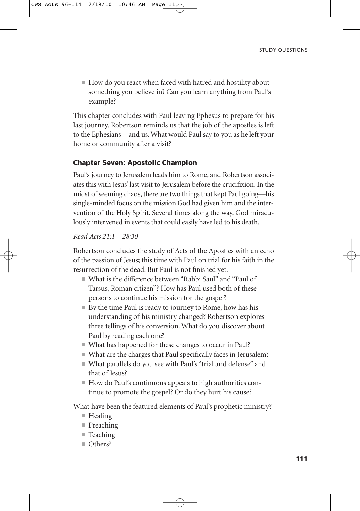■ How do you react when faced with hatred and hostility about something you believe in? Can you learn anything from Paul's example?

This chapter concludes with Paul leaving Ephesus to prepare for his last journey. Robertson reminds us that the job of the apostles is left to the Ephesians—and us. What would Paul say to you as he left your home or community after a visit?

#### **Chapter Seven: Apostolic Champion**

Paul's journey to Jerusalem leads him to Rome, and Robertson associates this with Jesus' last visit to Jerusalem before the crucifixion. In the midst of seeming chaos, there are two things that kept Paul going—his single-minded focus on the mission God had given him and the intervention of the Holy Spirit. Several times along the way, God miraculously intervened in events that could easily have led to his death.

## *Read Acts 21:1—28:30*

Robertson concludes the study of Acts of the Apostles with an echo of the passion of Jesus; this time with Paul on trial for his faith in the resurrection of the dead. But Paul is not finished yet.

- What is the difference between "Rabbi Saul" and "Paul of Tarsus, Roman citizen"? How has Paul used both of these persons to continue his mission for the gospel?
- By the time Paul is ready to journey to Rome, how has his understanding of his ministry changed? Robertson explores three tellings of his conversion. What do you discover about Paul by reading each one?
- What has happened for these changes to occur in Paul?
- What are the charges that Paul specifically faces in Jerusalem?
- What parallels do you see with Paul's "trial and defense" and that of Jesus?
- How do Paul's continuous appeals to high authorities continue to promote the gospel? Or do they hurt his cause?

What have been the featured elements of Paul's prophetic ministry?

- Healing
- Preaching
- Teaching
- Others?